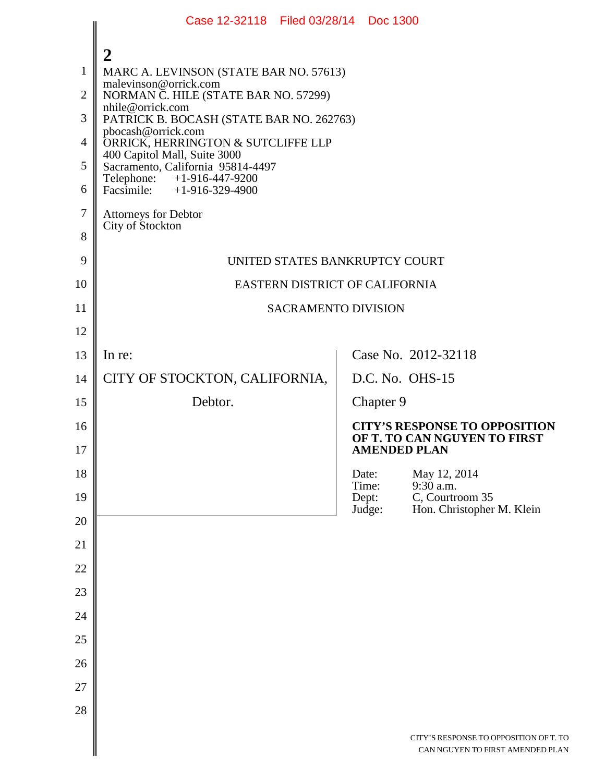|                                                                   | Case 12-32118 Filed 03/28/14 Doc 1300                                                                                                                                                                                                                                                                                                                                                                                          |  |                          |                                                                                             |  |
|-------------------------------------------------------------------|--------------------------------------------------------------------------------------------------------------------------------------------------------------------------------------------------------------------------------------------------------------------------------------------------------------------------------------------------------------------------------------------------------------------------------|--|--------------------------|---------------------------------------------------------------------------------------------|--|
| $\mathbf{1}$<br>$\overline{2}$<br>3<br>4<br>5<br>6<br>$\tau$<br>8 | 2<br>MARC A. LEVINSON (STATE BAR NO. 57613)<br>malevinson@orrick.com<br>NORMAN C. HILE (STATE BAR NO. 57299)<br>nhile@orrick.com<br>PATRICK B. BOCASH (STATE BAR NO. 262763)<br>pbocash@orrick.com<br>ORRICK, HERRINGTON & SUTCLIFFE LLP<br>400 Capitol Mall, Suite 3000<br>Sacramento, California 95814-4497<br>Telephone: +1-916-447-9200<br>Facsimile: $+1-916-329-4900$<br><b>Attorneys for Debtor</b><br>City of Stockton |  |                          |                                                                                             |  |
| 9                                                                 | UNITED STATES BANKRUPTCY COURT                                                                                                                                                                                                                                                                                                                                                                                                 |  |                          |                                                                                             |  |
| 10                                                                | EASTERN DISTRICT OF CALIFORNIA                                                                                                                                                                                                                                                                                                                                                                                                 |  |                          |                                                                                             |  |
| 11                                                                | <b>SACRAMENTO DIVISION</b>                                                                                                                                                                                                                                                                                                                                                                                                     |  |                          |                                                                                             |  |
| 12                                                                |                                                                                                                                                                                                                                                                                                                                                                                                                                |  |                          |                                                                                             |  |
| 13                                                                | In re:                                                                                                                                                                                                                                                                                                                                                                                                                         |  |                          | Case No. 2012-32118                                                                         |  |
| 14                                                                | CITY OF STOCKTON, CALIFORNIA,                                                                                                                                                                                                                                                                                                                                                                                                  |  |                          | D.C. No. OHS-15                                                                             |  |
| 15                                                                | Debtor.                                                                                                                                                                                                                                                                                                                                                                                                                        |  | Chapter 9                |                                                                                             |  |
| 16<br>17                                                          |                                                                                                                                                                                                                                                                                                                                                                                                                                |  |                          | <b>CITY'S RESPONSE TO OPPOSITION</b><br>OF T. TO CAN NGUYEN TO FIRST<br><b>AMENDED PLAN</b> |  |
| 18                                                                |                                                                                                                                                                                                                                                                                                                                                                                                                                |  | Date:                    | May 12, 2014                                                                                |  |
| 19                                                                |                                                                                                                                                                                                                                                                                                                                                                                                                                |  | Time:<br>Dept:<br>Judge: | $9:30$ a.m.<br>C, Courtroom 35                                                              |  |
| 20                                                                |                                                                                                                                                                                                                                                                                                                                                                                                                                |  |                          | Hon. Christopher M. Klein                                                                   |  |
| 21                                                                |                                                                                                                                                                                                                                                                                                                                                                                                                                |  |                          |                                                                                             |  |
| 22                                                                |                                                                                                                                                                                                                                                                                                                                                                                                                                |  |                          |                                                                                             |  |
| 23                                                                |                                                                                                                                                                                                                                                                                                                                                                                                                                |  |                          |                                                                                             |  |
| 24                                                                |                                                                                                                                                                                                                                                                                                                                                                                                                                |  |                          |                                                                                             |  |
| 25                                                                |                                                                                                                                                                                                                                                                                                                                                                                                                                |  |                          |                                                                                             |  |
| 26                                                                |                                                                                                                                                                                                                                                                                                                                                                                                                                |  |                          |                                                                                             |  |
| 27                                                                |                                                                                                                                                                                                                                                                                                                                                                                                                                |  |                          |                                                                                             |  |
| 28                                                                |                                                                                                                                                                                                                                                                                                                                                                                                                                |  |                          |                                                                                             |  |
|                                                                   |                                                                                                                                                                                                                                                                                                                                                                                                                                |  |                          | CITY'S RESPONSE TO OPPOSITION OF T. TO<br>CAN NGUYEN TO FIRST AMENDED PLAN                  |  |